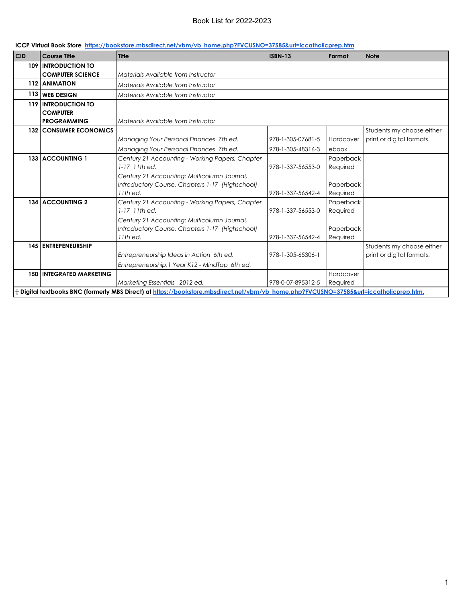| ICCP Virtual Book Store https://bookstore.mbsdirect.net/vbm/vb home.php?FVCUSNO=37585&url=iccatholicprep.htm |  |
|--------------------------------------------------------------------------------------------------------------|--|
|--------------------------------------------------------------------------------------------------------------|--|

| 109 INTRODUCTION TO<br><b>COMPUTER SCIENCE</b><br>Materials Available from Instructor<br>112 ANIMATION<br>Materials Available from Instructor<br>113 WEB DESIGN<br>Materials Available from Instructor<br>119 INTRODUCTION TO<br><b>COMPUTER</b><br><b>PROGRAMMING</b><br>Materials Available from Instructor<br><b>132 CONSUMER ECONOMICS</b><br>Managing Your Personal Finances 7th ed.<br>978-1-305-07681-5<br>Hardcover<br>Managing Your Personal Finances 7th ed.<br>978-1-305-48316-3<br>ebook<br>133 ACCOUNTING 1<br>Century 21 Accounting - Working Papers, Chapter<br>Paperback<br>$1-17$ 11th ed.<br>978-1-337-56553-0<br>Required<br>Century 21 Accounting: Multicolumn Journal,<br>Introductory Course, Chapters 1-17 (Highschool)<br>Paperback<br>11th ed.<br>978-1-337-56542-4<br>Required<br>134 ACCOUNTING 2<br>Paperback<br>Century 21 Accounting - Working Papers, Chapter<br>978-1-337-56553-0<br>$1-17$ 11th ed.<br>Required<br>Century 21 Accounting: Multicolumn Journal,<br>Introductory Course, Chapters 1-17 (Highschool)<br>Paperback<br>11th ed.<br>978-1-337-56542-4<br>Required<br><b>145 ENTREPENEURSHIP</b><br>Entrepreneurship Ideas in Action 6th ed.<br>978-1-305-65306-1<br>print or digital formats.<br>Entrepreneurship, 1 Year K12 - MindTap 6th ed. | <b>CID</b> | <b>Course Title</b>             | <b>Title</b> | <b>ISBN-13</b> | Format    | <b>Note</b>               |
|--------------------------------------------------------------------------------------------------------------------------------------------------------------------------------------------------------------------------------------------------------------------------------------------------------------------------------------------------------------------------------------------------------------------------------------------------------------------------------------------------------------------------------------------------------------------------------------------------------------------------------------------------------------------------------------------------------------------------------------------------------------------------------------------------------------------------------------------------------------------------------------------------------------------------------------------------------------------------------------------------------------------------------------------------------------------------------------------------------------------------------------------------------------------------------------------------------------------------------------------------------------------------------------------|------------|---------------------------------|--------------|----------------|-----------|---------------------------|
|                                                                                                                                                                                                                                                                                                                                                                                                                                                                                                                                                                                                                                                                                                                                                                                                                                                                                                                                                                                                                                                                                                                                                                                                                                                                                            |            |                                 |              |                |           |                           |
|                                                                                                                                                                                                                                                                                                                                                                                                                                                                                                                                                                                                                                                                                                                                                                                                                                                                                                                                                                                                                                                                                                                                                                                                                                                                                            |            |                                 |              |                |           |                           |
|                                                                                                                                                                                                                                                                                                                                                                                                                                                                                                                                                                                                                                                                                                                                                                                                                                                                                                                                                                                                                                                                                                                                                                                                                                                                                            |            |                                 |              |                |           |                           |
|                                                                                                                                                                                                                                                                                                                                                                                                                                                                                                                                                                                                                                                                                                                                                                                                                                                                                                                                                                                                                                                                                                                                                                                                                                                                                            |            |                                 |              |                |           |                           |
|                                                                                                                                                                                                                                                                                                                                                                                                                                                                                                                                                                                                                                                                                                                                                                                                                                                                                                                                                                                                                                                                                                                                                                                                                                                                                            |            |                                 |              |                |           |                           |
|                                                                                                                                                                                                                                                                                                                                                                                                                                                                                                                                                                                                                                                                                                                                                                                                                                                                                                                                                                                                                                                                                                                                                                                                                                                                                            |            |                                 |              |                |           |                           |
|                                                                                                                                                                                                                                                                                                                                                                                                                                                                                                                                                                                                                                                                                                                                                                                                                                                                                                                                                                                                                                                                                                                                                                                                                                                                                            |            |                                 |              |                |           |                           |
|                                                                                                                                                                                                                                                                                                                                                                                                                                                                                                                                                                                                                                                                                                                                                                                                                                                                                                                                                                                                                                                                                                                                                                                                                                                                                            |            |                                 |              |                |           | Students my choose either |
|                                                                                                                                                                                                                                                                                                                                                                                                                                                                                                                                                                                                                                                                                                                                                                                                                                                                                                                                                                                                                                                                                                                                                                                                                                                                                            |            |                                 |              |                |           | print or digital formats. |
|                                                                                                                                                                                                                                                                                                                                                                                                                                                                                                                                                                                                                                                                                                                                                                                                                                                                                                                                                                                                                                                                                                                                                                                                                                                                                            |            |                                 |              |                |           |                           |
|                                                                                                                                                                                                                                                                                                                                                                                                                                                                                                                                                                                                                                                                                                                                                                                                                                                                                                                                                                                                                                                                                                                                                                                                                                                                                            |            |                                 |              |                |           |                           |
|                                                                                                                                                                                                                                                                                                                                                                                                                                                                                                                                                                                                                                                                                                                                                                                                                                                                                                                                                                                                                                                                                                                                                                                                                                                                                            |            |                                 |              |                |           |                           |
|                                                                                                                                                                                                                                                                                                                                                                                                                                                                                                                                                                                                                                                                                                                                                                                                                                                                                                                                                                                                                                                                                                                                                                                                                                                                                            |            |                                 |              |                |           |                           |
|                                                                                                                                                                                                                                                                                                                                                                                                                                                                                                                                                                                                                                                                                                                                                                                                                                                                                                                                                                                                                                                                                                                                                                                                                                                                                            |            |                                 |              |                |           |                           |
|                                                                                                                                                                                                                                                                                                                                                                                                                                                                                                                                                                                                                                                                                                                                                                                                                                                                                                                                                                                                                                                                                                                                                                                                                                                                                            |            |                                 |              |                |           |                           |
|                                                                                                                                                                                                                                                                                                                                                                                                                                                                                                                                                                                                                                                                                                                                                                                                                                                                                                                                                                                                                                                                                                                                                                                                                                                                                            |            |                                 |              |                |           |                           |
|                                                                                                                                                                                                                                                                                                                                                                                                                                                                                                                                                                                                                                                                                                                                                                                                                                                                                                                                                                                                                                                                                                                                                                                                                                                                                            |            |                                 |              |                |           |                           |
|                                                                                                                                                                                                                                                                                                                                                                                                                                                                                                                                                                                                                                                                                                                                                                                                                                                                                                                                                                                                                                                                                                                                                                                                                                                                                            |            |                                 |              |                |           |                           |
|                                                                                                                                                                                                                                                                                                                                                                                                                                                                                                                                                                                                                                                                                                                                                                                                                                                                                                                                                                                                                                                                                                                                                                                                                                                                                            |            |                                 |              |                |           |                           |
|                                                                                                                                                                                                                                                                                                                                                                                                                                                                                                                                                                                                                                                                                                                                                                                                                                                                                                                                                                                                                                                                                                                                                                                                                                                                                            |            |                                 |              |                |           |                           |
|                                                                                                                                                                                                                                                                                                                                                                                                                                                                                                                                                                                                                                                                                                                                                                                                                                                                                                                                                                                                                                                                                                                                                                                                                                                                                            |            |                                 |              |                |           | Students my choose either |
|                                                                                                                                                                                                                                                                                                                                                                                                                                                                                                                                                                                                                                                                                                                                                                                                                                                                                                                                                                                                                                                                                                                                                                                                                                                                                            |            |                                 |              |                |           |                           |
|                                                                                                                                                                                                                                                                                                                                                                                                                                                                                                                                                                                                                                                                                                                                                                                                                                                                                                                                                                                                                                                                                                                                                                                                                                                                                            |            |                                 |              |                |           |                           |
|                                                                                                                                                                                                                                                                                                                                                                                                                                                                                                                                                                                                                                                                                                                                                                                                                                                                                                                                                                                                                                                                                                                                                                                                                                                                                            |            | <b>150 INTEGRATED MARKETING</b> |              |                | Hardcover |                           |
| Marketing Essentials 2012 ed.<br>978-0-07-895312-5<br>Required                                                                                                                                                                                                                                                                                                                                                                                                                                                                                                                                                                                                                                                                                                                                                                                                                                                                                                                                                                                                                                                                                                                                                                                                                             |            |                                 |              |                |           |                           |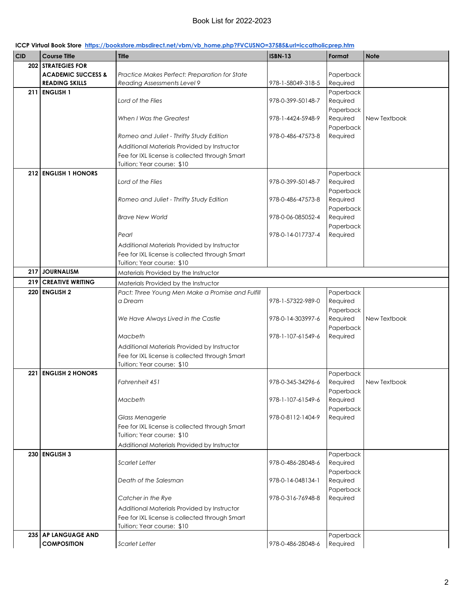| <b>CID</b> | <b>Course Title</b>                       | <b>Title</b>                                     | <b>ISBN-13</b>    | Format                | <b>Note</b>  |
|------------|-------------------------------------------|--------------------------------------------------|-------------------|-----------------------|--------------|
| 202        | <b>STRATEGIES FOR</b>                     |                                                  |                   |                       |              |
|            | <b>ACADEMIC SUCCESS &amp;</b>             | Practice Makes Perfect: Preparation for State    |                   | Paperback             |              |
|            | <b>READING SKILLS</b>                     | Reading Assessments Level 9                      | 978-1-58049-318-5 | Required              |              |
| 211        | <b>ENGLISH 1</b>                          |                                                  |                   | Paperback             |              |
|            |                                           | Lord of the Flies                                | 978-0-399-50148-7 | Required              |              |
|            |                                           |                                                  |                   | Paperback             |              |
|            |                                           | When I Was the Greatest                          | 978-1-4424-5948-9 | Required              | New Textbook |
|            |                                           |                                                  |                   | Paperback             |              |
|            |                                           | Romeo and Juliet - Thrifty Study Edition         | 978-0-486-47573-8 | Required              |              |
|            |                                           | Additional Materials Provided by Instructor      |                   |                       |              |
|            |                                           | Fee for IXL license is collected through Smart   |                   |                       |              |
|            |                                           | Tuition; Year course: \$10                       |                   |                       |              |
| 212        | <b>ENGLISH 1 HONORS</b>                   |                                                  |                   | Paperback             |              |
|            |                                           | Lord of the Flies                                | 978-0-399-50148-7 | Required              |              |
|            |                                           |                                                  | 978-0-486-47573-8 | Paperback<br>Required |              |
|            |                                           | Romeo and Juliet - Thrifty Study Edition         |                   | Paperback             |              |
|            |                                           | <b>Brave New World</b>                           | 978-0-06-085052-4 | Required              |              |
|            |                                           |                                                  |                   | Paperback             |              |
|            |                                           | Pearl                                            | 978-0-14-017737-4 | Required              |              |
|            |                                           | Additional Materials Provided by Instructor      |                   |                       |              |
|            |                                           | Fee for IXL license is collected through Smart   |                   |                       |              |
|            |                                           | Tuition; Year course: \$10                       |                   |                       |              |
| 217        | <b>JOURNALISM</b>                         | Materials Provided by the Instructor             |                   |                       |              |
| 219        | <b>CREATIVE WRITING</b>                   | Materials Provided by the Instructor             |                   |                       |              |
| 220        | <b>ENGLISH 2</b>                          | Pact: Three Young Men Make a Promise and Fulfill |                   | Paperback             |              |
|            |                                           | a Dream                                          | 978-1-57322-989-0 | Required              |              |
|            |                                           |                                                  |                   | Paperback             |              |
|            |                                           | We Have Always Lived in the Castle               | 978-0-14-303997-6 | Required              | New Textbook |
|            |                                           |                                                  |                   | Paperback             |              |
|            |                                           | Macbeth                                          | 978-1-107-61549-6 | Required              |              |
|            |                                           | Additional Materials Provided by Instructor      |                   |                       |              |
|            |                                           | Fee for IXL license is collected through Smart   |                   |                       |              |
|            |                                           | Tuition; Year course: \$10                       |                   |                       |              |
| 221        | <b>ENGLISH 2 HONORS</b>                   |                                                  |                   | Paperback             |              |
|            |                                           | Fahrenheit 451                                   | 978-0-345-34296-6 | Required              | New Textbook |
|            |                                           | Macbeth                                          | 978-1-107-61549-6 | Paperback             |              |
|            |                                           |                                                  |                   | Required<br>Paperback |              |
|            |                                           | Glass Menagerie                                  | 978-0-8112-1404-9 | Required              |              |
|            |                                           | Fee for IXL license is collected through Smart   |                   |                       |              |
|            |                                           | Tuition; Year course: \$10                       |                   |                       |              |
|            |                                           | Additional Materials Provided by Instructor      |                   |                       |              |
|            | 230 ENGLISH 3                             |                                                  |                   | Paperback             |              |
|            |                                           | <b>Scarlet Letter</b>                            | 978-0-486-28048-6 | Required              |              |
|            |                                           |                                                  |                   | Paperback             |              |
|            |                                           | Death of the Salesman                            | 978-0-14-048134-1 | Required              |              |
|            |                                           |                                                  |                   | Paperback             |              |
|            |                                           | Catcher in the Rye                               | 978-0-316-76948-8 | Required              |              |
|            |                                           | Additional Materials Provided by Instructor      |                   |                       |              |
|            |                                           | Fee for IXL license is collected through Smart   |                   |                       |              |
|            |                                           | Tuition; Year course: \$10                       |                   |                       |              |
|            | 235 AP LANGUAGE AND<br><b>COMPOSITION</b> |                                                  |                   | Paperback             |              |
|            |                                           | <b>Scarlet Letter</b>                            | 978-0-486-28048-6 | Required              |              |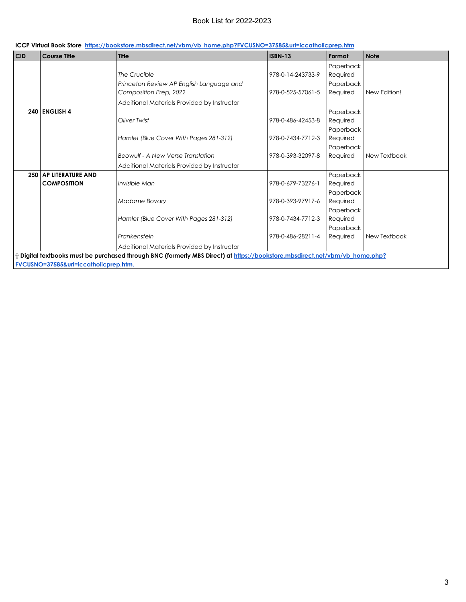|  | ICCP Virtual Book Store https://bookstore.mbsdirect.net/vbm/vb_home.php?FVCUSNO=37585&url=iccatholicprep.htm |  |  |
|--|--------------------------------------------------------------------------------------------------------------|--|--|
|--|--------------------------------------------------------------------------------------------------------------|--|--|

| <b>CID</b>                            | <b>Course Title</b>          | <b>Title</b>                                                                                                                | <b>ISBN-13</b>    | Format    | Note         |  |
|---------------------------------------|------------------------------|-----------------------------------------------------------------------------------------------------------------------------|-------------------|-----------|--------------|--|
|                                       |                              |                                                                                                                             |                   | Paperback |              |  |
|                                       |                              | The Crucible                                                                                                                | 978-0-14-243733-9 | Required  |              |  |
|                                       |                              | Princeton Review AP English Language and                                                                                    |                   | Paperback |              |  |
|                                       |                              | Composition Prep, 2022                                                                                                      | 978-0-525-57061-5 | Required  | New Edition! |  |
|                                       |                              | Additional Materials Provided by Instructor                                                                                 |                   |           |              |  |
|                                       | 240 ENGLISH 4                |                                                                                                                             |                   | Paperback |              |  |
|                                       |                              | Oliver Twist                                                                                                                | 978-0-486-42453-8 | Required  |              |  |
|                                       |                              |                                                                                                                             |                   | Paperback |              |  |
|                                       |                              | Hamlet (Blue Cover With Pages 281-312)                                                                                      | 978-0-7434-7712-3 | Required  |              |  |
|                                       |                              |                                                                                                                             |                   | Paperback |              |  |
|                                       |                              | Beowulf - A New Verse Translation                                                                                           | 978-0-393-32097-8 | Required  | New Textbook |  |
|                                       |                              | Additional Materials Provided by Instructor                                                                                 |                   |           |              |  |
|                                       | <b>250 AP LITERATURE AND</b> |                                                                                                                             |                   | Paperback |              |  |
|                                       | <b>COMPOSITION</b>           | Invisible Man                                                                                                               | 978-0-679-73276-1 | Required  |              |  |
|                                       |                              |                                                                                                                             |                   | Paperback |              |  |
|                                       |                              | Madame Bovary                                                                                                               | 978-0-393-97917-6 | Required  |              |  |
|                                       |                              |                                                                                                                             |                   | Paperback |              |  |
|                                       |                              | Hamlet (Blue Cover With Pages 281-312)                                                                                      | 978-0-7434-7712-3 | Required  |              |  |
|                                       |                              |                                                                                                                             |                   | Paperback |              |  |
|                                       |                              | Frankenstein                                                                                                                | 978-0-486-28211-4 | Required  | New Textbook |  |
|                                       |                              | Additional Materials Provided by Instructor                                                                                 |                   |           |              |  |
|                                       |                              | † Digital textbooks must be purchased through BNC (formerly MBS Direct) at https://bookstore.mbsdirect.net/vbm/vb home.php? |                   |           |              |  |
| FVCUSNO=37585&url=iccatholicprep.htm. |                              |                                                                                                                             |                   |           |              |  |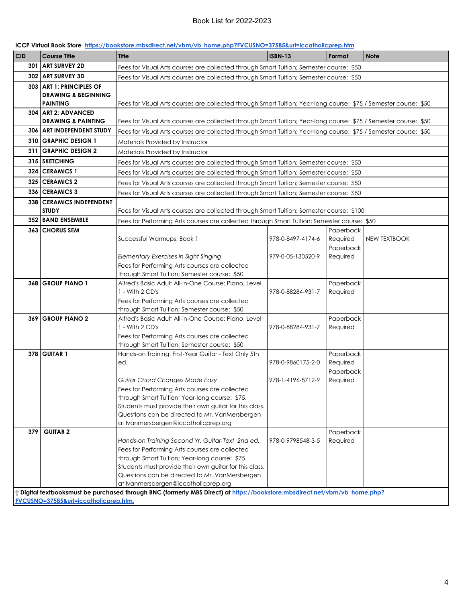|  | ICCP Virtual Book Store https://bookstore.mbsdirect.net/vbm/vb home.php?FVCUSNO=37585&url=iccatholicprep.htm |  |  |
|--|--------------------------------------------------------------------------------------------------------------|--|--|
|--|--------------------------------------------------------------------------------------------------------------|--|--|

| <b>CID</b>                            | <b>Course Title</b>                               | Title                                                                                                                      | <b>ISBN-13</b>    | Format    | <b>Note</b>         |  |  |
|---------------------------------------|---------------------------------------------------|----------------------------------------------------------------------------------------------------------------------------|-------------------|-----------|---------------------|--|--|
| 301                                   | <b>ART SURVEY 2D</b>                              |                                                                                                                            |                   |           |                     |  |  |
|                                       | 302 ART SURVEY 3D                                 | Fees for Visual Arts courses are collected through Smart Tuition; Semester course: \$50                                    |                   |           |                     |  |  |
|                                       |                                                   | Fees for Visual Arts courses are collected through Smart Tuition; Semester course: \$50                                    |                   |           |                     |  |  |
|                                       | 303 ART 1: PRINCIPLES OF                          |                                                                                                                            |                   |           |                     |  |  |
|                                       | <b>DRAWING &amp; BEGINNING</b><br><b>PAINTING</b> |                                                                                                                            |                   |           |                     |  |  |
|                                       | 304 ART 2: ADVANCED                               | Fees for Visual Arts courses are collected through Smart Tuition; Year-long course: \$75 / Semester course: \$50           |                   |           |                     |  |  |
|                                       | <b>DRAWING &amp; PAINTING</b>                     | Fees for Visual Arts courses are collected through Smart Tuition; Year-long course: \$75 / Semester course: \$50           |                   |           |                     |  |  |
|                                       | 306   ART INDEPENDENT STUDY                       |                                                                                                                            |                   |           |                     |  |  |
|                                       | 310 GRAPHIC DESIGN 1                              | Fees for Visual Arts courses are collected through Smart Tuition; Year-long course: \$75 / Semester course: \$50           |                   |           |                     |  |  |
|                                       |                                                   | Materials Provided by Instructor                                                                                           |                   |           |                     |  |  |
|                                       | 311   GRAPHIC DESIGN 2                            | Materials Provided by Instructor                                                                                           |                   |           |                     |  |  |
|                                       | 315 SKETCHING                                     | Fees for Visual Arts courses are collected through Smart Tuition; Semester course: \$50                                    |                   |           |                     |  |  |
|                                       | 324   CERAMICS 1                                  | Fees for Visual Arts courses are collected through Smart Tuition; Semester course: \$50                                    |                   |           |                     |  |  |
|                                       | 325 CERAMICS 2                                    | Fees for Visual Arts courses are collected through Smart Tuition; Semester course: \$50                                    |                   |           |                     |  |  |
|                                       | 336 CERAMICS 3                                    | Fees for Visual Arts courses are collected through Smart Tuition; Semester course: \$50                                    |                   |           |                     |  |  |
|                                       | 338 CERAMICS INDEPENDENT                          |                                                                                                                            |                   |           |                     |  |  |
|                                       | <b>STUDY</b>                                      | Fees for Visual Arts courses are collected through Smart Tuition; Semester course: \$100                                   |                   |           |                     |  |  |
|                                       | 352 BAND ENSEMBLE                                 | Fees for Performing Arts courses are collected through Smart Tuition; Semester course: \$50                                |                   |           |                     |  |  |
|                                       | 363 CHORUS SEM                                    |                                                                                                                            |                   | Paperback |                     |  |  |
|                                       |                                                   | Successful Warmups, Book 1                                                                                                 | 978-0-8497-4174-6 | Required  | <b>NEW TEXTBOOK</b> |  |  |
|                                       |                                                   |                                                                                                                            |                   | Paperback |                     |  |  |
|                                       |                                                   | Elementary Exercises in Sight Singing                                                                                      | 979-0-05-130520-9 | Required  |                     |  |  |
|                                       |                                                   | Fees for Performing Arts courses are collected                                                                             |                   |           |                     |  |  |
|                                       |                                                   | through Smart Tuition; Semester course: \$50                                                                               |                   |           |                     |  |  |
|                                       | 368 GROUP PIANO 1                                 | Alfred's Basic Adult All-in-One Course: Piano, Level                                                                       |                   | Paperback |                     |  |  |
|                                       |                                                   | 1 - With 2 CD's                                                                                                            | 978-0-88284-931-7 | Required  |                     |  |  |
|                                       |                                                   | Fees for Performing Arts courses are collected                                                                             |                   |           |                     |  |  |
|                                       | 369 GROUP PIANO 2                                 | through Smart Tuition; Semester course: \$50<br>Alfred's Basic Adult All-in-One Course: Piano, Level                       |                   | Paperback |                     |  |  |
|                                       |                                                   | 1 - With 2 CD's                                                                                                            | 978-0-88284-931-7 | Required  |                     |  |  |
|                                       |                                                   | Fees for Performing Arts courses are collected                                                                             |                   |           |                     |  |  |
|                                       |                                                   | through Smart Tuition; Semester course: \$50                                                                               |                   |           |                     |  |  |
|                                       | <b>378 GUITAR 1</b>                               | Hands-on Training: First-Year Guitar - Text Only 5th                                                                       |                   | Paperback |                     |  |  |
|                                       |                                                   | ed.                                                                                                                        | 978-0-9860175-2-0 | Required  |                     |  |  |
|                                       |                                                   |                                                                                                                            |                   | Paperback |                     |  |  |
|                                       |                                                   | Guitar Chord Changes Made Easy                                                                                             | 978-1-4196-8712-9 | Required  |                     |  |  |
|                                       |                                                   | Fees for Performing Arts courses are collected                                                                             |                   |           |                     |  |  |
|                                       |                                                   | through Smart Tuition; Year-long course: \$75.                                                                             |                   |           |                     |  |  |
|                                       |                                                   | Students must provide their own guitar for this class.                                                                     |                   |           |                     |  |  |
|                                       |                                                   | Questions can be directed to Mr. VanMersbergen                                                                             |                   |           |                     |  |  |
|                                       |                                                   | at Ivanmersbergen@iccatholicprep.org                                                                                       |                   |           |                     |  |  |
| 379                                   | <b>GUITAR 2</b>                                   |                                                                                                                            | 978-0-9798548-3-5 | Paperback |                     |  |  |
|                                       |                                                   | Hands-on Training Second Yr. Guitar-Text 2nd ed.<br>Fees for Performing Arts courses are collected                         |                   | Required  |                     |  |  |
|                                       |                                                   | through Smart Tuition; Year-long course: \$75.                                                                             |                   |           |                     |  |  |
|                                       |                                                   | Students must provide their own guitar for this class.                                                                     |                   |           |                     |  |  |
|                                       |                                                   | Questions can be directed to Mr. VanMersbergen                                                                             |                   |           |                     |  |  |
|                                       |                                                   | at Ivanmersbergen@iccatholicprep.org                                                                                       |                   |           |                     |  |  |
|                                       |                                                   | † Digital textbooksmust be purchased through BNC (formerly MBS Direct) at https://bookstore.mbsdirect.net/vbm/vb_home.php? |                   |           |                     |  |  |
| FVCUSNO=37585&url=iccatholicprep.htm. |                                                   |                                                                                                                            |                   |           |                     |  |  |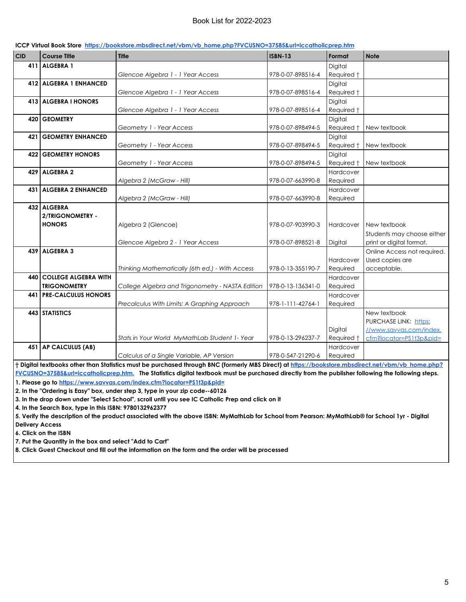| <b>CID</b> | <b>Course Title</b>             | <b>Title</b>                                     | <b>ISBN-13</b>    | Format     | <b>Note</b>                 |
|------------|---------------------------------|--------------------------------------------------|-------------------|------------|-----------------------------|
| 411        | ALGEBRA 1                       |                                                  |                   | Digital    |                             |
|            |                                 | Glencoe Algebra 1 - 1 Year Access                | 978-0-07-898516-4 | Required † |                             |
|            | 412 ALGEBRA 1 ENHANCED          |                                                  |                   | Digital    |                             |
|            |                                 | Glencoe Algebra 1 - 1 Year Access                | 978-0-07-898516-4 | Required t |                             |
|            | 413 ALGEBRA I HONORS            |                                                  |                   | Digital    |                             |
|            |                                 | Glencoe Algebra 1 - 1 Year Access                | 978-0-07-898516-4 | Required t |                             |
|            | 420 GEOMETRY                    |                                                  |                   | Digital    |                             |
|            |                                 | Geometry 1 - Year Access                         | 978-0-07-898494-5 | Required + | New textbook                |
| 421        | <b>GEOMETRY ENHANCED</b>        |                                                  |                   | Digital    |                             |
|            |                                 | Geometry 1 - Year Access                         | 978-0-07-898494-5 | Required + | New textbook                |
|            | <b>422 GEOMETRY HONORS</b>      |                                                  |                   | Digital    |                             |
|            |                                 | Geometry 1 - Year Access                         | 978-0-07-898494-5 | Required † | New textbook                |
| 429        | <b>ALGEBRA 2</b>                |                                                  |                   | Hardcover  |                             |
|            |                                 | Algebra 2 (McGraw - Hill)                        | 978-0-07-663990-8 | Required   |                             |
| 431        | <b>ALGEBRA 2 ENHANCED</b>       |                                                  |                   | Hardcover  |                             |
|            |                                 | Algebra 2 (McGraw - Hill)                        | 978-0-07-663990-8 | Required   |                             |
|            | 432 ALGEBRA                     |                                                  |                   |            |                             |
|            | 2/TRIGONOMETRY -                |                                                  |                   |            |                             |
|            | <b>HONORS</b>                   | Algebra 2 (Glencoe)                              | 978-0-07-903990-3 | Hardcover  | New textbook                |
|            |                                 |                                                  |                   |            | Students may choose either  |
|            |                                 | Glencoe Algebra 2 - 1 Year Access                | 978-0-07-898521-8 | Digital    | print or digital format.    |
|            | 439 ALGEBRA 3                   |                                                  |                   |            | Online Access not required. |
|            |                                 |                                                  |                   | Hardcover  | Used copies are             |
|            |                                 | Thinking Mathematically (6th ed.) - With Access  | 978-0-13-355190-7 | Required   | acceptable.                 |
|            | <b>440 COLLEGE ALGEBRA WITH</b> |                                                  |                   | Hardcover  |                             |
|            | <b>TRIGONOMETRY</b>             | College Algebra and Trigonometry - NASTA Edition | 978-0-13-136341-0 | Required   |                             |
| 441        | <b>PRE-CALCULUS HONORS</b>      |                                                  |                   | Hardcover  |                             |
|            |                                 | Precalculus With Limits: A Graphing Approach     | 978-1-111-42764-1 | Required   |                             |
|            | 443 STATISTICS                  |                                                  |                   |            | New textbook                |
|            |                                 |                                                  |                   |            | PURCHASE LINK: https:       |
|            |                                 |                                                  |                   | Digital    | //www.savvas.com/index.     |
|            |                                 | Stats in Your World MyMathLab Student 1- Year    | 978-0-13-296237-7 | Required † | cfm?locator=PS1t3p&pid=     |
|            | 451 AP CALCULUS (AB)            |                                                  |                   | Hardcover  |                             |
|            |                                 | Calculus of a Single Variable, AP Version        | 978-0-547-21290-6 | Required   |                             |

#### **ICCP Virtual Book Store https://bookstore.mbsdirect.net/vbm/vb\_home.php?FVCUSNO=37585&url=iccatholicprep.htm**

**† Digital textbooks other than Statistics must be purchased through BNC (formerly MBS Direct) at https://bookstore.mbsdirect.net/vbm/vb\_home.php? FVCUSNO=37585&url=iccatholicprep.htm. The Statistics digital textbook must be purchased directly from the publisher following the following steps.**

**1. Please go to https://www.savvas.com/index.cfm?locator=PS1t3p&pid=**

**2. In the "Ordering is Easy" box, under step 3, type in your zip code--60126**

**3. In the drop down under "Select School", scroll until you see IC Catholic Prep and click on it**

**4. In the Search Box, type in this ISBN: 9780132962377**

**5. Verify the description of the product associated with the above ISBN: MyMathLab for School from Pearson: MyMathLab® for School 1yr - Digital Delivery Access**

**6. Click on the ISBN**

**7. Put the Quantity in the box and select "Add to Cart"**

**8. Click Guest Checkout and fill out the information on the form and the order will be processed**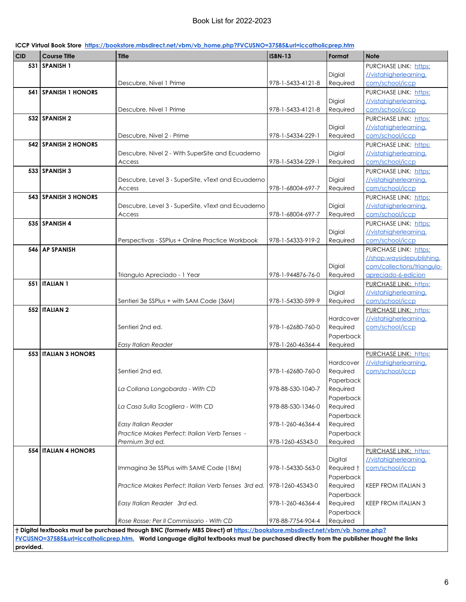| ICCP Virtual Book Store https://bookstore.mbsdirect.net/vbm/vb home.php?FVCUSNO=37585&url=iccatholicprep.htm |  |  |
|--------------------------------------------------------------------------------------------------------------|--|--|
|--------------------------------------------------------------------------------------------------------------|--|--|

| 531   SPANISH 1<br>PURCHASE LINK: https:<br>Digial<br>//vistahigherlearning.<br>Required<br>com/school/iccp<br>Descubre, Nivel 1 Prime<br>978-1-5433-4121-8<br>541 SPANISH 1 HONORS<br>PURCHASE LINK: https:<br>Digial<br>//vistahigherlearning.<br>978-1-5433-4121-8<br>Required<br>com/school/iccp<br>Descubre, Nivel 1 Prime<br>532 SPANISH 2<br>PURCHASE LINK: https:<br>Digial<br>//vistahigherlearning.<br>978-1-54334-229-1<br>Required<br>com/school/iccp<br>Descubre, Nivel 2 - Prime<br>542 SPANISH 2 HONORS<br>PURCHASE LINK: https:<br>Digial<br>//vistahigherlearning.<br>Descubre, Nivel 2 - With SuperSite and Ecuaderno<br>978-1-54334-229-1<br>Required<br>com/school/iccp<br>Access<br>533 SPANISH 3<br>PURCHASE LINK: https:<br>Descubre, Level 3 - SuperSite, vText and Ecuaderno<br>Digial<br>//vistahigherlearning.<br>978-1-68004-697-7<br>com/school/iccp<br>Required<br>Access<br>543 SPANISH 3 HONORS<br>PURCHASE LINK: https:<br>Descubre, Level 3 - SuperSite, vText and Ecuaderno<br>Digial<br>//vistahigherlearning.<br>978-1-68004-697-7<br>Required<br>com/school/iccp<br>Access<br>535 SPANISH 4<br>PURCHASE LINK: https:<br>Digial<br>//vistahigherlearning.<br>Perspectivas - SSPlus + Online Practice Workbook<br>978-1-54333-919-2<br>com/school/iccp<br>Required<br>546 AP SPANISH<br>PURCHASE LINK: https:<br>//shop.waysidepublishing.<br>Digial<br>com/collections/triangulo-<br>Required<br>apreciado-6-edicion<br>Triangulo Apreciado - 1 Year<br>978-1-944876-76-0<br><b>551   ITALIAN 1</b><br>PURCHASE LINK: https:<br>Digial<br>//vistahigherlearning.<br>978-1-54330-599-9<br>Required<br>com/school/iccp<br>Sentieri 3e SSPlus + with SAM Code (36M)<br><b>552   ITALIAN 2</b><br>PURCHASE LINK: https:<br>//vistahigherlearning.<br>Hardcover<br>Sentieri 2nd ed.<br>978-1-62680-760-0<br>Required<br>com/school/iccp<br>Paperback<br>978-1-260-46364-4<br>Required<br>Easy Italian Reader<br><b>553 ITALIAN 3 HONORS</b><br>PURCHASE LINK: https:<br>//vistahigherlearning.<br>Hardcover<br>Sentieri 2nd ed.<br>978-1-62680-760-0<br>Required<br>com/school/iccp<br>Paperback<br>978-88-530-1040-7<br>Required<br>La Collana Longobarda - With CD<br>Paperback<br>La Casa Sulla Scogliera - With CD<br>978-88-530-1346-0<br>Required<br>Paperback<br>978-1-260-46364-4<br>Easy Italian Reader<br>Required<br>Practice Makes Perfect: Italian Verb Tenses -<br>Paperback<br>978-1260-45343-0<br>Required<br>Premium 3rd ed.<br>554   ITALIAN 4 HONORS<br>PURCHASE LINK: https:<br>Digital<br>//vistahigherlearning.<br>Immagina 3e SSPlus with SAME Code (18M)<br>978-1-54330-563-0<br>Required †<br>com/school/iccp<br>Paperback<br>Practice Makes Perfect: Italian Verb Tenses 3rd ed.   978-1260-45343-0<br>Required<br><b>KEEP FROM ITALIAN 3</b><br>Paperback<br>Required<br>Easy Italian Reader 3rd ed.<br>978-1-260-46364-4<br><b>KEEP FROM ITALIAN 3</b><br>Paperback | <b>CID</b> | <b>Course Title</b> | <b>Title</b>                             | <b>ISBN-13</b> | Format   | <b>Note</b> |
|---------------------------------------------------------------------------------------------------------------------------------------------------------------------------------------------------------------------------------------------------------------------------------------------------------------------------------------------------------------------------------------------------------------------------------------------------------------------------------------------------------------------------------------------------------------------------------------------------------------------------------------------------------------------------------------------------------------------------------------------------------------------------------------------------------------------------------------------------------------------------------------------------------------------------------------------------------------------------------------------------------------------------------------------------------------------------------------------------------------------------------------------------------------------------------------------------------------------------------------------------------------------------------------------------------------------------------------------------------------------------------------------------------------------------------------------------------------------------------------------------------------------------------------------------------------------------------------------------------------------------------------------------------------------------------------------------------------------------------------------------------------------------------------------------------------------------------------------------------------------------------------------------------------------------------------------------------------------------------------------------------------------------------------------------------------------------------------------------------------------------------------------------------------------------------------------------------------------------------------------------------------------------------------------------------------------------------------------------------------------------------------------------------------------------------------------------------------------------------------------------------------------------------------------------------------------------------------------------------------------------------------------------------------------------------------------------------------------------------------------------------------------------------------------------------------------------------------------------------------------------------------------------------------------------------|------------|---------------------|------------------------------------------|----------------|----------|-------------|
|                                                                                                                                                                                                                                                                                                                                                                                                                                                                                                                                                                                                                                                                                                                                                                                                                                                                                                                                                                                                                                                                                                                                                                                                                                                                                                                                                                                                                                                                                                                                                                                                                                                                                                                                                                                                                                                                                                                                                                                                                                                                                                                                                                                                                                                                                                                                                                                                                                                                                                                                                                                                                                                                                                                                                                                                                                                                                                                                 |            |                     |                                          |                |          |             |
|                                                                                                                                                                                                                                                                                                                                                                                                                                                                                                                                                                                                                                                                                                                                                                                                                                                                                                                                                                                                                                                                                                                                                                                                                                                                                                                                                                                                                                                                                                                                                                                                                                                                                                                                                                                                                                                                                                                                                                                                                                                                                                                                                                                                                                                                                                                                                                                                                                                                                                                                                                                                                                                                                                                                                                                                                                                                                                                                 |            |                     |                                          |                |          |             |
|                                                                                                                                                                                                                                                                                                                                                                                                                                                                                                                                                                                                                                                                                                                                                                                                                                                                                                                                                                                                                                                                                                                                                                                                                                                                                                                                                                                                                                                                                                                                                                                                                                                                                                                                                                                                                                                                                                                                                                                                                                                                                                                                                                                                                                                                                                                                                                                                                                                                                                                                                                                                                                                                                                                                                                                                                                                                                                                                 |            |                     |                                          |                |          |             |
|                                                                                                                                                                                                                                                                                                                                                                                                                                                                                                                                                                                                                                                                                                                                                                                                                                                                                                                                                                                                                                                                                                                                                                                                                                                                                                                                                                                                                                                                                                                                                                                                                                                                                                                                                                                                                                                                                                                                                                                                                                                                                                                                                                                                                                                                                                                                                                                                                                                                                                                                                                                                                                                                                                                                                                                                                                                                                                                                 |            |                     |                                          |                |          |             |
|                                                                                                                                                                                                                                                                                                                                                                                                                                                                                                                                                                                                                                                                                                                                                                                                                                                                                                                                                                                                                                                                                                                                                                                                                                                                                                                                                                                                                                                                                                                                                                                                                                                                                                                                                                                                                                                                                                                                                                                                                                                                                                                                                                                                                                                                                                                                                                                                                                                                                                                                                                                                                                                                                                                                                                                                                                                                                                                                 |            |                     |                                          |                |          |             |
|                                                                                                                                                                                                                                                                                                                                                                                                                                                                                                                                                                                                                                                                                                                                                                                                                                                                                                                                                                                                                                                                                                                                                                                                                                                                                                                                                                                                                                                                                                                                                                                                                                                                                                                                                                                                                                                                                                                                                                                                                                                                                                                                                                                                                                                                                                                                                                                                                                                                                                                                                                                                                                                                                                                                                                                                                                                                                                                                 |            |                     |                                          |                |          |             |
|                                                                                                                                                                                                                                                                                                                                                                                                                                                                                                                                                                                                                                                                                                                                                                                                                                                                                                                                                                                                                                                                                                                                                                                                                                                                                                                                                                                                                                                                                                                                                                                                                                                                                                                                                                                                                                                                                                                                                                                                                                                                                                                                                                                                                                                                                                                                                                                                                                                                                                                                                                                                                                                                                                                                                                                                                                                                                                                                 |            |                     |                                          |                |          |             |
|                                                                                                                                                                                                                                                                                                                                                                                                                                                                                                                                                                                                                                                                                                                                                                                                                                                                                                                                                                                                                                                                                                                                                                                                                                                                                                                                                                                                                                                                                                                                                                                                                                                                                                                                                                                                                                                                                                                                                                                                                                                                                                                                                                                                                                                                                                                                                                                                                                                                                                                                                                                                                                                                                                                                                                                                                                                                                                                                 |            |                     |                                          |                |          |             |
|                                                                                                                                                                                                                                                                                                                                                                                                                                                                                                                                                                                                                                                                                                                                                                                                                                                                                                                                                                                                                                                                                                                                                                                                                                                                                                                                                                                                                                                                                                                                                                                                                                                                                                                                                                                                                                                                                                                                                                                                                                                                                                                                                                                                                                                                                                                                                                                                                                                                                                                                                                                                                                                                                                                                                                                                                                                                                                                                 |            |                     |                                          |                |          |             |
|                                                                                                                                                                                                                                                                                                                                                                                                                                                                                                                                                                                                                                                                                                                                                                                                                                                                                                                                                                                                                                                                                                                                                                                                                                                                                                                                                                                                                                                                                                                                                                                                                                                                                                                                                                                                                                                                                                                                                                                                                                                                                                                                                                                                                                                                                                                                                                                                                                                                                                                                                                                                                                                                                                                                                                                                                                                                                                                                 |            |                     |                                          |                |          |             |
|                                                                                                                                                                                                                                                                                                                                                                                                                                                                                                                                                                                                                                                                                                                                                                                                                                                                                                                                                                                                                                                                                                                                                                                                                                                                                                                                                                                                                                                                                                                                                                                                                                                                                                                                                                                                                                                                                                                                                                                                                                                                                                                                                                                                                                                                                                                                                                                                                                                                                                                                                                                                                                                                                                                                                                                                                                                                                                                                 |            |                     |                                          |                |          |             |
|                                                                                                                                                                                                                                                                                                                                                                                                                                                                                                                                                                                                                                                                                                                                                                                                                                                                                                                                                                                                                                                                                                                                                                                                                                                                                                                                                                                                                                                                                                                                                                                                                                                                                                                                                                                                                                                                                                                                                                                                                                                                                                                                                                                                                                                                                                                                                                                                                                                                                                                                                                                                                                                                                                                                                                                                                                                                                                                                 |            |                     |                                          |                |          |             |
|                                                                                                                                                                                                                                                                                                                                                                                                                                                                                                                                                                                                                                                                                                                                                                                                                                                                                                                                                                                                                                                                                                                                                                                                                                                                                                                                                                                                                                                                                                                                                                                                                                                                                                                                                                                                                                                                                                                                                                                                                                                                                                                                                                                                                                                                                                                                                                                                                                                                                                                                                                                                                                                                                                                                                                                                                                                                                                                                 |            |                     |                                          |                |          |             |
|                                                                                                                                                                                                                                                                                                                                                                                                                                                                                                                                                                                                                                                                                                                                                                                                                                                                                                                                                                                                                                                                                                                                                                                                                                                                                                                                                                                                                                                                                                                                                                                                                                                                                                                                                                                                                                                                                                                                                                                                                                                                                                                                                                                                                                                                                                                                                                                                                                                                                                                                                                                                                                                                                                                                                                                                                                                                                                                                 |            |                     |                                          |                |          |             |
|                                                                                                                                                                                                                                                                                                                                                                                                                                                                                                                                                                                                                                                                                                                                                                                                                                                                                                                                                                                                                                                                                                                                                                                                                                                                                                                                                                                                                                                                                                                                                                                                                                                                                                                                                                                                                                                                                                                                                                                                                                                                                                                                                                                                                                                                                                                                                                                                                                                                                                                                                                                                                                                                                                                                                                                                                                                                                                                                 |            |                     |                                          |                |          |             |
|                                                                                                                                                                                                                                                                                                                                                                                                                                                                                                                                                                                                                                                                                                                                                                                                                                                                                                                                                                                                                                                                                                                                                                                                                                                                                                                                                                                                                                                                                                                                                                                                                                                                                                                                                                                                                                                                                                                                                                                                                                                                                                                                                                                                                                                                                                                                                                                                                                                                                                                                                                                                                                                                                                                                                                                                                                                                                                                                 |            |                     |                                          |                |          |             |
|                                                                                                                                                                                                                                                                                                                                                                                                                                                                                                                                                                                                                                                                                                                                                                                                                                                                                                                                                                                                                                                                                                                                                                                                                                                                                                                                                                                                                                                                                                                                                                                                                                                                                                                                                                                                                                                                                                                                                                                                                                                                                                                                                                                                                                                                                                                                                                                                                                                                                                                                                                                                                                                                                                                                                                                                                                                                                                                                 |            |                     |                                          |                |          |             |
|                                                                                                                                                                                                                                                                                                                                                                                                                                                                                                                                                                                                                                                                                                                                                                                                                                                                                                                                                                                                                                                                                                                                                                                                                                                                                                                                                                                                                                                                                                                                                                                                                                                                                                                                                                                                                                                                                                                                                                                                                                                                                                                                                                                                                                                                                                                                                                                                                                                                                                                                                                                                                                                                                                                                                                                                                                                                                                                                 |            |                     |                                          |                |          |             |
|                                                                                                                                                                                                                                                                                                                                                                                                                                                                                                                                                                                                                                                                                                                                                                                                                                                                                                                                                                                                                                                                                                                                                                                                                                                                                                                                                                                                                                                                                                                                                                                                                                                                                                                                                                                                                                                                                                                                                                                                                                                                                                                                                                                                                                                                                                                                                                                                                                                                                                                                                                                                                                                                                                                                                                                                                                                                                                                                 |            |                     |                                          |                |          |             |
|                                                                                                                                                                                                                                                                                                                                                                                                                                                                                                                                                                                                                                                                                                                                                                                                                                                                                                                                                                                                                                                                                                                                                                                                                                                                                                                                                                                                                                                                                                                                                                                                                                                                                                                                                                                                                                                                                                                                                                                                                                                                                                                                                                                                                                                                                                                                                                                                                                                                                                                                                                                                                                                                                                                                                                                                                                                                                                                                 |            |                     |                                          |                |          |             |
|                                                                                                                                                                                                                                                                                                                                                                                                                                                                                                                                                                                                                                                                                                                                                                                                                                                                                                                                                                                                                                                                                                                                                                                                                                                                                                                                                                                                                                                                                                                                                                                                                                                                                                                                                                                                                                                                                                                                                                                                                                                                                                                                                                                                                                                                                                                                                                                                                                                                                                                                                                                                                                                                                                                                                                                                                                                                                                                                 |            |                     |                                          |                |          |             |
|                                                                                                                                                                                                                                                                                                                                                                                                                                                                                                                                                                                                                                                                                                                                                                                                                                                                                                                                                                                                                                                                                                                                                                                                                                                                                                                                                                                                                                                                                                                                                                                                                                                                                                                                                                                                                                                                                                                                                                                                                                                                                                                                                                                                                                                                                                                                                                                                                                                                                                                                                                                                                                                                                                                                                                                                                                                                                                                                 |            |                     |                                          |                |          |             |
|                                                                                                                                                                                                                                                                                                                                                                                                                                                                                                                                                                                                                                                                                                                                                                                                                                                                                                                                                                                                                                                                                                                                                                                                                                                                                                                                                                                                                                                                                                                                                                                                                                                                                                                                                                                                                                                                                                                                                                                                                                                                                                                                                                                                                                                                                                                                                                                                                                                                                                                                                                                                                                                                                                                                                                                                                                                                                                                                 |            |                     |                                          |                |          |             |
|                                                                                                                                                                                                                                                                                                                                                                                                                                                                                                                                                                                                                                                                                                                                                                                                                                                                                                                                                                                                                                                                                                                                                                                                                                                                                                                                                                                                                                                                                                                                                                                                                                                                                                                                                                                                                                                                                                                                                                                                                                                                                                                                                                                                                                                                                                                                                                                                                                                                                                                                                                                                                                                                                                                                                                                                                                                                                                                                 |            |                     |                                          |                |          |             |
|                                                                                                                                                                                                                                                                                                                                                                                                                                                                                                                                                                                                                                                                                                                                                                                                                                                                                                                                                                                                                                                                                                                                                                                                                                                                                                                                                                                                                                                                                                                                                                                                                                                                                                                                                                                                                                                                                                                                                                                                                                                                                                                                                                                                                                                                                                                                                                                                                                                                                                                                                                                                                                                                                                                                                                                                                                                                                                                                 |            |                     |                                          |                |          |             |
|                                                                                                                                                                                                                                                                                                                                                                                                                                                                                                                                                                                                                                                                                                                                                                                                                                                                                                                                                                                                                                                                                                                                                                                                                                                                                                                                                                                                                                                                                                                                                                                                                                                                                                                                                                                                                                                                                                                                                                                                                                                                                                                                                                                                                                                                                                                                                                                                                                                                                                                                                                                                                                                                                                                                                                                                                                                                                                                                 |            |                     |                                          |                |          |             |
|                                                                                                                                                                                                                                                                                                                                                                                                                                                                                                                                                                                                                                                                                                                                                                                                                                                                                                                                                                                                                                                                                                                                                                                                                                                                                                                                                                                                                                                                                                                                                                                                                                                                                                                                                                                                                                                                                                                                                                                                                                                                                                                                                                                                                                                                                                                                                                                                                                                                                                                                                                                                                                                                                                                                                                                                                                                                                                                                 |            |                     |                                          |                |          |             |
|                                                                                                                                                                                                                                                                                                                                                                                                                                                                                                                                                                                                                                                                                                                                                                                                                                                                                                                                                                                                                                                                                                                                                                                                                                                                                                                                                                                                                                                                                                                                                                                                                                                                                                                                                                                                                                                                                                                                                                                                                                                                                                                                                                                                                                                                                                                                                                                                                                                                                                                                                                                                                                                                                                                                                                                                                                                                                                                                 |            |                     |                                          |                |          |             |
|                                                                                                                                                                                                                                                                                                                                                                                                                                                                                                                                                                                                                                                                                                                                                                                                                                                                                                                                                                                                                                                                                                                                                                                                                                                                                                                                                                                                                                                                                                                                                                                                                                                                                                                                                                                                                                                                                                                                                                                                                                                                                                                                                                                                                                                                                                                                                                                                                                                                                                                                                                                                                                                                                                                                                                                                                                                                                                                                 |            |                     |                                          |                |          |             |
|                                                                                                                                                                                                                                                                                                                                                                                                                                                                                                                                                                                                                                                                                                                                                                                                                                                                                                                                                                                                                                                                                                                                                                                                                                                                                                                                                                                                                                                                                                                                                                                                                                                                                                                                                                                                                                                                                                                                                                                                                                                                                                                                                                                                                                                                                                                                                                                                                                                                                                                                                                                                                                                                                                                                                                                                                                                                                                                                 |            |                     |                                          |                |          |             |
|                                                                                                                                                                                                                                                                                                                                                                                                                                                                                                                                                                                                                                                                                                                                                                                                                                                                                                                                                                                                                                                                                                                                                                                                                                                                                                                                                                                                                                                                                                                                                                                                                                                                                                                                                                                                                                                                                                                                                                                                                                                                                                                                                                                                                                                                                                                                                                                                                                                                                                                                                                                                                                                                                                                                                                                                                                                                                                                                 |            |                     |                                          |                |          |             |
|                                                                                                                                                                                                                                                                                                                                                                                                                                                                                                                                                                                                                                                                                                                                                                                                                                                                                                                                                                                                                                                                                                                                                                                                                                                                                                                                                                                                                                                                                                                                                                                                                                                                                                                                                                                                                                                                                                                                                                                                                                                                                                                                                                                                                                                                                                                                                                                                                                                                                                                                                                                                                                                                                                                                                                                                                                                                                                                                 |            |                     |                                          |                |          |             |
|                                                                                                                                                                                                                                                                                                                                                                                                                                                                                                                                                                                                                                                                                                                                                                                                                                                                                                                                                                                                                                                                                                                                                                                                                                                                                                                                                                                                                                                                                                                                                                                                                                                                                                                                                                                                                                                                                                                                                                                                                                                                                                                                                                                                                                                                                                                                                                                                                                                                                                                                                                                                                                                                                                                                                                                                                                                                                                                                 |            |                     |                                          |                |          |             |
|                                                                                                                                                                                                                                                                                                                                                                                                                                                                                                                                                                                                                                                                                                                                                                                                                                                                                                                                                                                                                                                                                                                                                                                                                                                                                                                                                                                                                                                                                                                                                                                                                                                                                                                                                                                                                                                                                                                                                                                                                                                                                                                                                                                                                                                                                                                                                                                                                                                                                                                                                                                                                                                                                                                                                                                                                                                                                                                                 |            |                     |                                          |                |          |             |
|                                                                                                                                                                                                                                                                                                                                                                                                                                                                                                                                                                                                                                                                                                                                                                                                                                                                                                                                                                                                                                                                                                                                                                                                                                                                                                                                                                                                                                                                                                                                                                                                                                                                                                                                                                                                                                                                                                                                                                                                                                                                                                                                                                                                                                                                                                                                                                                                                                                                                                                                                                                                                                                                                                                                                                                                                                                                                                                                 |            |                     |                                          |                |          |             |
|                                                                                                                                                                                                                                                                                                                                                                                                                                                                                                                                                                                                                                                                                                                                                                                                                                                                                                                                                                                                                                                                                                                                                                                                                                                                                                                                                                                                                                                                                                                                                                                                                                                                                                                                                                                                                                                                                                                                                                                                                                                                                                                                                                                                                                                                                                                                                                                                                                                                                                                                                                                                                                                                                                                                                                                                                                                                                                                                 |            |                     |                                          |                |          |             |
|                                                                                                                                                                                                                                                                                                                                                                                                                                                                                                                                                                                                                                                                                                                                                                                                                                                                                                                                                                                                                                                                                                                                                                                                                                                                                                                                                                                                                                                                                                                                                                                                                                                                                                                                                                                                                                                                                                                                                                                                                                                                                                                                                                                                                                                                                                                                                                                                                                                                                                                                                                                                                                                                                                                                                                                                                                                                                                                                 |            |                     |                                          |                |          |             |
|                                                                                                                                                                                                                                                                                                                                                                                                                                                                                                                                                                                                                                                                                                                                                                                                                                                                                                                                                                                                                                                                                                                                                                                                                                                                                                                                                                                                                                                                                                                                                                                                                                                                                                                                                                                                                                                                                                                                                                                                                                                                                                                                                                                                                                                                                                                                                                                                                                                                                                                                                                                                                                                                                                                                                                                                                                                                                                                                 |            |                     |                                          |                |          |             |
|                                                                                                                                                                                                                                                                                                                                                                                                                                                                                                                                                                                                                                                                                                                                                                                                                                                                                                                                                                                                                                                                                                                                                                                                                                                                                                                                                                                                                                                                                                                                                                                                                                                                                                                                                                                                                                                                                                                                                                                                                                                                                                                                                                                                                                                                                                                                                                                                                                                                                                                                                                                                                                                                                                                                                                                                                                                                                                                                 |            |                     |                                          |                |          |             |
|                                                                                                                                                                                                                                                                                                                                                                                                                                                                                                                                                                                                                                                                                                                                                                                                                                                                                                                                                                                                                                                                                                                                                                                                                                                                                                                                                                                                                                                                                                                                                                                                                                                                                                                                                                                                                                                                                                                                                                                                                                                                                                                                                                                                                                                                                                                                                                                                                                                                                                                                                                                                                                                                                                                                                                                                                                                                                                                                 |            |                     |                                          |                |          |             |
|                                                                                                                                                                                                                                                                                                                                                                                                                                                                                                                                                                                                                                                                                                                                                                                                                                                                                                                                                                                                                                                                                                                                                                                                                                                                                                                                                                                                                                                                                                                                                                                                                                                                                                                                                                                                                                                                                                                                                                                                                                                                                                                                                                                                                                                                                                                                                                                                                                                                                                                                                                                                                                                                                                                                                                                                                                                                                                                                 |            |                     |                                          |                |          |             |
|                                                                                                                                                                                                                                                                                                                                                                                                                                                                                                                                                                                                                                                                                                                                                                                                                                                                                                                                                                                                                                                                                                                                                                                                                                                                                                                                                                                                                                                                                                                                                                                                                                                                                                                                                                                                                                                                                                                                                                                                                                                                                                                                                                                                                                                                                                                                                                                                                                                                                                                                                                                                                                                                                                                                                                                                                                                                                                                                 |            |                     |                                          |                |          |             |
|                                                                                                                                                                                                                                                                                                                                                                                                                                                                                                                                                                                                                                                                                                                                                                                                                                                                                                                                                                                                                                                                                                                                                                                                                                                                                                                                                                                                                                                                                                                                                                                                                                                                                                                                                                                                                                                                                                                                                                                                                                                                                                                                                                                                                                                                                                                                                                                                                                                                                                                                                                                                                                                                                                                                                                                                                                                                                                                                 |            |                     |                                          |                |          |             |
|                                                                                                                                                                                                                                                                                                                                                                                                                                                                                                                                                                                                                                                                                                                                                                                                                                                                                                                                                                                                                                                                                                                                                                                                                                                                                                                                                                                                                                                                                                                                                                                                                                                                                                                                                                                                                                                                                                                                                                                                                                                                                                                                                                                                                                                                                                                                                                                                                                                                                                                                                                                                                                                                                                                                                                                                                                                                                                                                 |            |                     |                                          |                |          |             |
|                                                                                                                                                                                                                                                                                                                                                                                                                                                                                                                                                                                                                                                                                                                                                                                                                                                                                                                                                                                                                                                                                                                                                                                                                                                                                                                                                                                                                                                                                                                                                                                                                                                                                                                                                                                                                                                                                                                                                                                                                                                                                                                                                                                                                                                                                                                                                                                                                                                                                                                                                                                                                                                                                                                                                                                                                                                                                                                                 |            |                     |                                          |                |          |             |
|                                                                                                                                                                                                                                                                                                                                                                                                                                                                                                                                                                                                                                                                                                                                                                                                                                                                                                                                                                                                                                                                                                                                                                                                                                                                                                                                                                                                                                                                                                                                                                                                                                                                                                                                                                                                                                                                                                                                                                                                                                                                                                                                                                                                                                                                                                                                                                                                                                                                                                                                                                                                                                                                                                                                                                                                                                                                                                                                 |            |                     |                                          |                |          |             |
|                                                                                                                                                                                                                                                                                                                                                                                                                                                                                                                                                                                                                                                                                                                                                                                                                                                                                                                                                                                                                                                                                                                                                                                                                                                                                                                                                                                                                                                                                                                                                                                                                                                                                                                                                                                                                                                                                                                                                                                                                                                                                                                                                                                                                                                                                                                                                                                                                                                                                                                                                                                                                                                                                                                                                                                                                                                                                                                                 |            |                     |                                          |                |          |             |
|                                                                                                                                                                                                                                                                                                                                                                                                                                                                                                                                                                                                                                                                                                                                                                                                                                                                                                                                                                                                                                                                                                                                                                                                                                                                                                                                                                                                                                                                                                                                                                                                                                                                                                                                                                                                                                                                                                                                                                                                                                                                                                                                                                                                                                                                                                                                                                                                                                                                                                                                                                                                                                                                                                                                                                                                                                                                                                                                 |            |                     |                                          |                |          |             |
|                                                                                                                                                                                                                                                                                                                                                                                                                                                                                                                                                                                                                                                                                                                                                                                                                                                                                                                                                                                                                                                                                                                                                                                                                                                                                                                                                                                                                                                                                                                                                                                                                                                                                                                                                                                                                                                                                                                                                                                                                                                                                                                                                                                                                                                                                                                                                                                                                                                                                                                                                                                                                                                                                                                                                                                                                                                                                                                                 |            |                     |                                          |                |          |             |
|                                                                                                                                                                                                                                                                                                                                                                                                                                                                                                                                                                                                                                                                                                                                                                                                                                                                                                                                                                                                                                                                                                                                                                                                                                                                                                                                                                                                                                                                                                                                                                                                                                                                                                                                                                                                                                                                                                                                                                                                                                                                                                                                                                                                                                                                                                                                                                                                                                                                                                                                                                                                                                                                                                                                                                                                                                                                                                                                 |            |                     |                                          |                |          |             |
| 978-88-7754-904-4                                                                                                                                                                                                                                                                                                                                                                                                                                                                                                                                                                                                                                                                                                                                                                                                                                                                                                                                                                                                                                                                                                                                                                                                                                                                                                                                                                                                                                                                                                                                                                                                                                                                                                                                                                                                                                                                                                                                                                                                                                                                                                                                                                                                                                                                                                                                                                                                                                                                                                                                                                                                                                                                                                                                                                                                                                                                                                               |            |                     | Rose Rosse: Per II Commissario - With CD |                | Required |             |
| † Digital textbooks must be purchased through BNC (formerly MBS Direct) at https://bookstore.mbsdirect.net/vbm/vb home.php?<br>FVCUSNO=37585&url=iccatholicprep.htm. World Language digital textbooks must be purchased directly from the publisher thought the links                                                                                                                                                                                                                                                                                                                                                                                                                                                                                                                                                                                                                                                                                                                                                                                                                                                                                                                                                                                                                                                                                                                                                                                                                                                                                                                                                                                                                                                                                                                                                                                                                                                                                                                                                                                                                                                                                                                                                                                                                                                                                                                                                                                                                                                                                                                                                                                                                                                                                                                                                                                                                                                           |            |                     |                                          |                |          |             |

**provided.**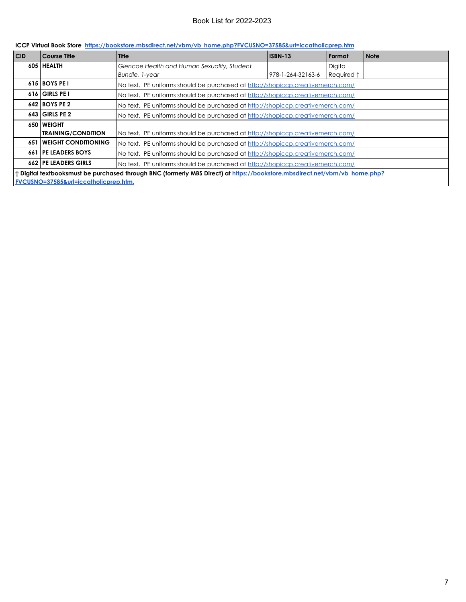| CID                                                                                                                        | <b>Course Title</b>        | <b>Title</b>                                                                   | <b>ISBN-13</b>    | Format     | <b>Note</b> |
|----------------------------------------------------------------------------------------------------------------------------|----------------------------|--------------------------------------------------------------------------------|-------------------|------------|-------------|
|                                                                                                                            | 605 HEALTH                 | Glencoe Health and Human Sexuality, Student                                    |                   | Digital    |             |
|                                                                                                                            |                            | Bundle, 1-year                                                                 | 978-1-264-32163-6 | Required † |             |
|                                                                                                                            | 615 BOYS PET               | No text. PE uniforms should be purchased at http://shopiccp.creativemerch.com/ |                   |            |             |
|                                                                                                                            | 616 GIRLS PE I             | No text. PE uniforms should be purchased at http://shopiccp.creativemerch.com/ |                   |            |             |
|                                                                                                                            | 642 BOYS PE 2              | No text. PE uniforms should be purchased at http://shopiccp.creativemerch.com/ |                   |            |             |
|                                                                                                                            | $643$ GIRLS PE 2           | No text. PE uniforms should be purchased at http://shopiccp.creativemerch.com/ |                   |            |             |
|                                                                                                                            | <b>650 WEIGHT</b>          |                                                                                |                   |            |             |
|                                                                                                                            | <b>TRAINING/CONDITION</b>  | No text. PE uniforms should be purchased at http://shopiccp.creativemerch.com/ |                   |            |             |
| 651                                                                                                                        | <b>WEIGHT CONDITIONING</b> | No text. PE uniforms should be purchased at http://shopiccp.creativemerch.com/ |                   |            |             |
| 661                                                                                                                        | <b>I PE LEADERS BOYS</b>   | No text. PE uniforms should be purchased at http://shopiccp.creativemerch.com/ |                   |            |             |
|                                                                                                                            | 662 PE LEADERS GIRLS       | No text. PE uniforms should be purchased at http://shopiccp.creativemerch.com/ |                   |            |             |
| † Digital textbooksmust be purchased through BNC (formerly MBS Direct) at https://bookstore.mbsdirect.net/vbm/vb home.php? |                            |                                                                                |                   |            |             |
| FVCUSNO=37585&url=iccatholicprep.htm.                                                                                      |                            |                                                                                |                   |            |             |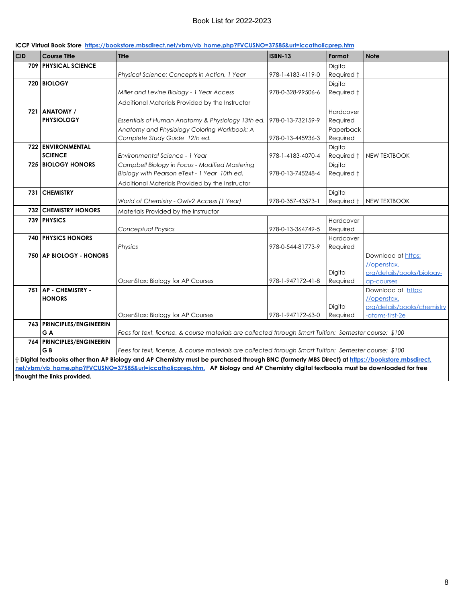| <b>CID</b>                                                                                                                          | <b>Course Title</b>         | <b>Title</b>                                                                                                                                   | <b>ISBN-13</b>    | Format              | <b>Note</b>                              |
|-------------------------------------------------------------------------------------------------------------------------------------|-----------------------------|------------------------------------------------------------------------------------------------------------------------------------------------|-------------------|---------------------|------------------------------------------|
|                                                                                                                                     | <b>709 PHYSICAL SCIENCE</b> |                                                                                                                                                |                   | Digital             |                                          |
|                                                                                                                                     |                             | Physical Science: Concepts in Action, 1 Year                                                                                                   | 978-1-4183-4119-0 | Required t          |                                          |
|                                                                                                                                     | 720 BIOLOGY                 |                                                                                                                                                |                   | Digital             |                                          |
|                                                                                                                                     |                             | Miller and Levine Biology - 1 Year Access                                                                                                      | 978-0-328-99506-6 | Required †          |                                          |
|                                                                                                                                     |                             | Additional Materials Provided by the Instructor                                                                                                |                   |                     |                                          |
|                                                                                                                                     | 721 ANATOMY /               |                                                                                                                                                |                   | Hardcover           |                                          |
|                                                                                                                                     | <b>PHYSIOLOGY</b>           | Essentials of Human Anatomy & Physiology 13th ed.                                                                                              | 978-0-13-732159-9 | Required            |                                          |
|                                                                                                                                     |                             | Anatomy and Physiology Coloring Workbook: A                                                                                                    |                   | Paperback           |                                          |
|                                                                                                                                     |                             | Complete Study Guide 12th ed.                                                                                                                  | 978-0-13-445936-3 | Required            |                                          |
|                                                                                                                                     | 722 ENVIRONMENTAL           |                                                                                                                                                |                   | Digital             |                                          |
|                                                                                                                                     | <b>SCIENCE</b>              | Environmental Science - 1 Year                                                                                                                 | 978-1-4183-4070-4 | Required †          | <b>NEW TEXTBOOK</b>                      |
|                                                                                                                                     | <b>725 BIOLOGY HONORS</b>   | Campbell Biology in Focus - Modified Mastering                                                                                                 |                   | Digital             |                                          |
|                                                                                                                                     |                             | Biology with Pearson eText - 1 Year 10th ed.                                                                                                   | 978-0-13-745248-4 | Required t          |                                          |
|                                                                                                                                     |                             | Additional Materials Provided by the Instructor                                                                                                |                   |                     |                                          |
|                                                                                                                                     | 731 CHEMISTRY               |                                                                                                                                                |                   | Digital             |                                          |
|                                                                                                                                     |                             | World of Chemistry - Owlv2 Access (1 Year)                                                                                                     | 978-0-357-43573-1 | Required †          | <b>NEW TEXTBOOK</b>                      |
|                                                                                                                                     | <b>732 CHEMISTRY HONORS</b> | Materials Provided by the Instructor                                                                                                           |                   |                     |                                          |
|                                                                                                                                     | 739 PHYSICS                 |                                                                                                                                                |                   | Hardcover           |                                          |
|                                                                                                                                     |                             | <b>Conceptual Physics</b>                                                                                                                      | 978-0-13-364749-5 | Required            |                                          |
|                                                                                                                                     | <b>740 PHYSICS HONORS</b>   |                                                                                                                                                |                   | Hardcover           |                                          |
|                                                                                                                                     |                             | Physics                                                                                                                                        | 978-0-544-81773-9 | Required            |                                          |
|                                                                                                                                     | 750 AP BIOLOGY - HONORS     |                                                                                                                                                |                   |                     | Download at https:                       |
|                                                                                                                                     |                             |                                                                                                                                                |                   |                     | //openstax.                              |
|                                                                                                                                     |                             | OpenStax: Biology for AP Courses                                                                                                               | 978-1-947172-41-8 | Digital<br>Required | org/details/books/biology-<br>ap-courses |
|                                                                                                                                     | 751 AP - CHEMISTRY -        |                                                                                                                                                |                   |                     | Download at https:                       |
|                                                                                                                                     | <b>HONORS</b>               |                                                                                                                                                |                   |                     | //openstax.                              |
|                                                                                                                                     |                             |                                                                                                                                                |                   | Digital             | org/details/books/chemistry              |
|                                                                                                                                     |                             | OpenStax: Biology for AP Courses                                                                                                               | 978-1-947172-63-0 | Required            | -atoms-first-2e                          |
|                                                                                                                                     | 763 PRINCIPLES/ENGINEERIN   |                                                                                                                                                |                   |                     |                                          |
|                                                                                                                                     | G A                         | Fees for text, license, & course materials are collected through Smart Tuition: Semester course: \$100                                         |                   |                     |                                          |
|                                                                                                                                     | 764 PRINCIPLES/ENGINEERIN   |                                                                                                                                                |                   |                     |                                          |
|                                                                                                                                     | GB                          | Fees for text, license, & course materials are collected through Smart Tuition: Semester course: \$100                                         |                   |                     |                                          |
|                                                                                                                                     |                             | + Digital textbooks other than AP Biology and AP Chemistry must be purchased through BNC (formerly MBS Direct) at https://bookstore.mbsdirect. |                   |                     |                                          |
| net/vbm/vb_home.php?FVCUSNO=37585&url=iccatholicprep.htm. AP Biology and AP Chemistry digital textbooks must be downloaded for free |                             |                                                                                                                                                |                   |                     |                                          |
| thought the links provided.                                                                                                         |                             |                                                                                                                                                |                   |                     |                                          |

#### **ICCP Virtual Book Store https://bookstore.mbsdirect.net/vbm/vb\_home.php?FVCUSNO=37585&url=iccatholicprep.htm**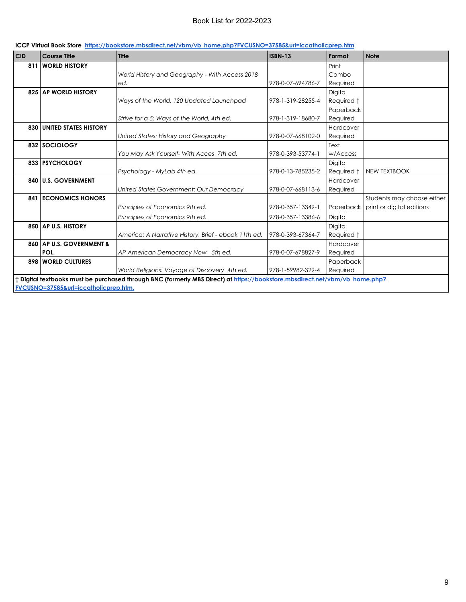|  | ICCP Virtual Book Store https://bookstore.mbsdirect.net/vbm/vb home.php?FVCUSNO=37585&url=iccatholicprep.htm |  |  |
|--|--------------------------------------------------------------------------------------------------------------|--|--|
|--|--------------------------------------------------------------------------------------------------------------|--|--|

| <b>CID</b>                                                                                                                  | <b>Course Title</b>              | <b>Title</b>                                         | <b>ISBN-13</b>    | Format     | <b>Note</b>                         |
|-----------------------------------------------------------------------------------------------------------------------------|----------------------------------|------------------------------------------------------|-------------------|------------|-------------------------------------|
| 811                                                                                                                         | <b>WORLD HISTORY</b>             |                                                      |                   | Print      |                                     |
|                                                                                                                             |                                  | World History and Geography - With Access 2018       |                   | Combo      |                                     |
|                                                                                                                             |                                  | ed.                                                  | 978-0-07-694786-7 | Required   |                                     |
|                                                                                                                             | 825 AP WORLD HISTORY             |                                                      |                   | Digital    |                                     |
|                                                                                                                             |                                  | Ways of the World, 120 Updated Launchpad             | 978-1-319-28255-4 | Required † |                                     |
|                                                                                                                             |                                  |                                                      |                   | Paperback  |                                     |
|                                                                                                                             |                                  | Strive for a 5: Ways of the World, 4th ed.           | 978-1-319-18680-7 | Required   |                                     |
|                                                                                                                             | <b>830 UNITED STATES HISTORY</b> |                                                      |                   | Hardcover  |                                     |
|                                                                                                                             |                                  | United States: History and Geography                 | 978-0-07-668102-0 | Required   |                                     |
|                                                                                                                             | 832 SOCIOLOGY                    |                                                      |                   | Text       |                                     |
|                                                                                                                             |                                  | You May Ask Yourself- With Acces 7th ed.             | 978-0-393-53774-1 | w/Access   |                                     |
|                                                                                                                             | 833 PSYCHOLOGY                   |                                                      |                   | Digital    |                                     |
|                                                                                                                             |                                  | Psychology - MyLab 4th ed.                           | 978-0-13-785235-2 | Required † | NEW TEXTBOOK                        |
| 840                                                                                                                         | <b>U.S. GOVERNMENT</b>           |                                                      |                   | Hardcover  |                                     |
|                                                                                                                             |                                  | United States Government: Our Democracy              | 978-0-07-668113-6 | Required   |                                     |
| 841                                                                                                                         | <b>ECONOMICS HONORS</b>          |                                                      |                   |            | Students may choose either          |
|                                                                                                                             |                                  | Principles of Economics 9th ed.                      | 978-0-357-13349-1 |            | Paperback print or digital editions |
|                                                                                                                             |                                  | Principles of Economics 9th ed.                      | 978-0-357-13386-6 | Digital    |                                     |
|                                                                                                                             | 850 AP U.S. HISTORY              |                                                      |                   | Digital    |                                     |
|                                                                                                                             |                                  | America: A Narrative History, Brief - ebook 11th ed. | 978-0-393-67364-7 | Required † |                                     |
|                                                                                                                             | 860 AP U.S. GOVERNMENT &         |                                                      |                   | Hardcover  |                                     |
|                                                                                                                             | POL.                             | AP American Democracy Now 5th ed.                    | 978-0-07-678827-9 | Required   |                                     |
|                                                                                                                             | <b>898 WORLD CULTURES</b>        |                                                      |                   | Paperback  |                                     |
|                                                                                                                             |                                  | World Religions: Voyage of Discovery 4th ed.         | 978-1-59982-329-4 | Required   |                                     |
| † Digital textbooks must be purchased through BNC (formerly MBS Direct) at https://bookstore.mbsdirect.net/vbm/vb home.php? |                                  |                                                      |                   |            |                                     |
| FVCUSNO=37585&url=iccatholicprep.htm.                                                                                       |                                  |                                                      |                   |            |                                     |